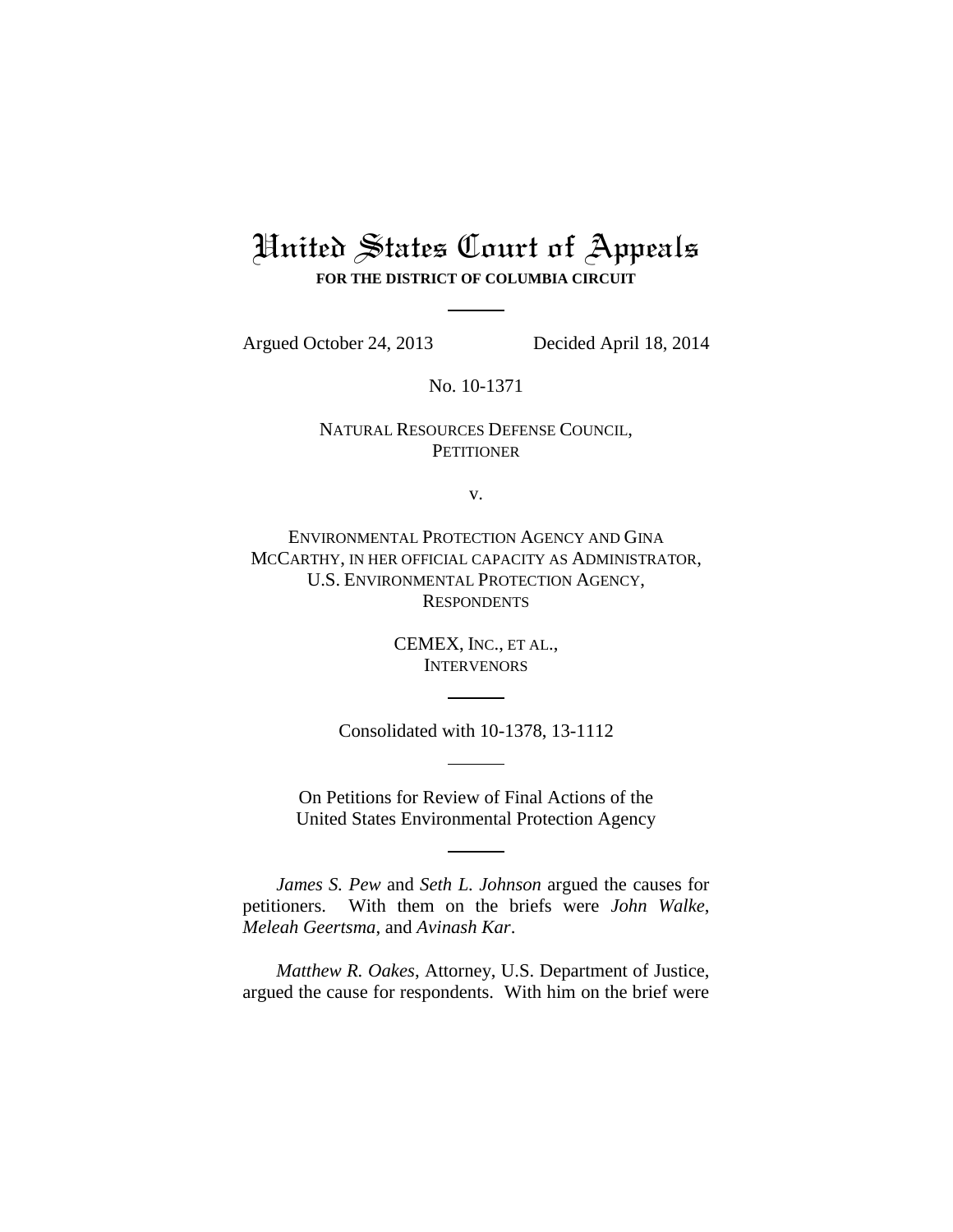# United States Court of Appeals

**FOR THE DISTRICT OF COLUMBIA CIRCUIT**

Argued October 24, 2013 Decided April 18, 2014

No. 10-1371

## NATURAL RESOURCES DEFENSE COUNCIL, **PETITIONER**

v.

ENVIRONMENTAL PROTECTION AGENCY AND GINA MCCARTHY, IN HER OFFICIAL CAPACITY AS ADMINISTRATOR, U.S. ENVIRONMENTAL PROTECTION AGENCY, **RESPONDENTS** 

> CEMEX, INC., ET AL., INTERVENORS

Consolidated with 10-1378, 13-1112

On Petitions for Review of Final Actions of the United States Environmental Protection Agency

*James S. Pew* and *Seth L. Johnson* argued the causes for petitioners. With them on the briefs were *John Walke*, *Meleah Geertsma*, and *Avinash Kar*.

*Matthew R. Oakes*, Attorney, U.S. Department of Justice, argued the cause for respondents. With him on the brief were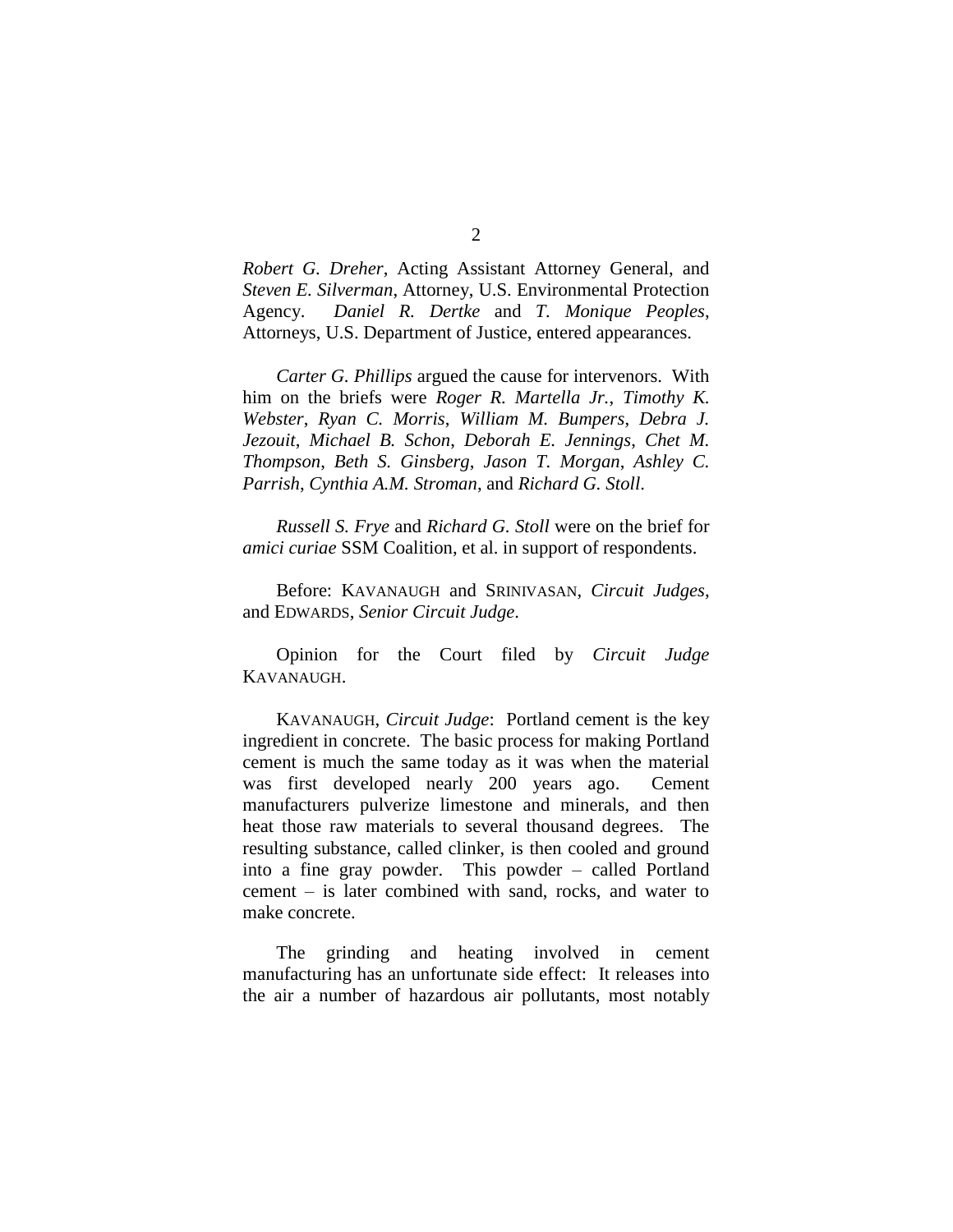*Robert G. Dreher*, Acting Assistant Attorney General, and *Steven E. Silverman*, Attorney, U.S. Environmental Protection Agency. *Daniel R. Dertke* and *T. Monique Peoples*, Attorneys, U.S. Department of Justice, entered appearances.

*Carter G. Phillips* argued the cause for intervenors. With him on the briefs were *Roger R. Martella Jr.*, *Timothy K. Webster*, *Ryan C. Morris*, *William M. Bumpers*, *Debra J. Jezouit*, *Michael B. Schon*, *Deborah E. Jennings*, *Chet M. Thompson*, *Beth S. Ginsberg*, *Jason T. Morgan*, *Ashley C. Parrish*, *Cynthia A.M. Stroman*, and *Richard G. Stoll*.

*Russell S. Frye* and *Richard G. Stoll* were on the brief for *amici curiae* SSM Coalition, et al. in support of respondents.

Before: KAVANAUGH and SRINIVASAN, *Circuit Judges*, and EDWARDS, *Senior Circuit Judge*.

Opinion for the Court filed by *Circuit Judge*  KAVANAUGH.

KAVANAUGH, *Circuit Judge*: Portland cement is the key ingredient in concrete. The basic process for making Portland cement is much the same today as it was when the material was first developed nearly 200 years ago. Cement manufacturers pulverize limestone and minerals, and then heat those raw materials to several thousand degrees. The resulting substance, called clinker, is then cooled and ground into a fine gray powder. This powder – called Portland cement – is later combined with sand, rocks, and water to make concrete.

The grinding and heating involved in cement manufacturing has an unfortunate side effect: It releases into the air a number of hazardous air pollutants, most notably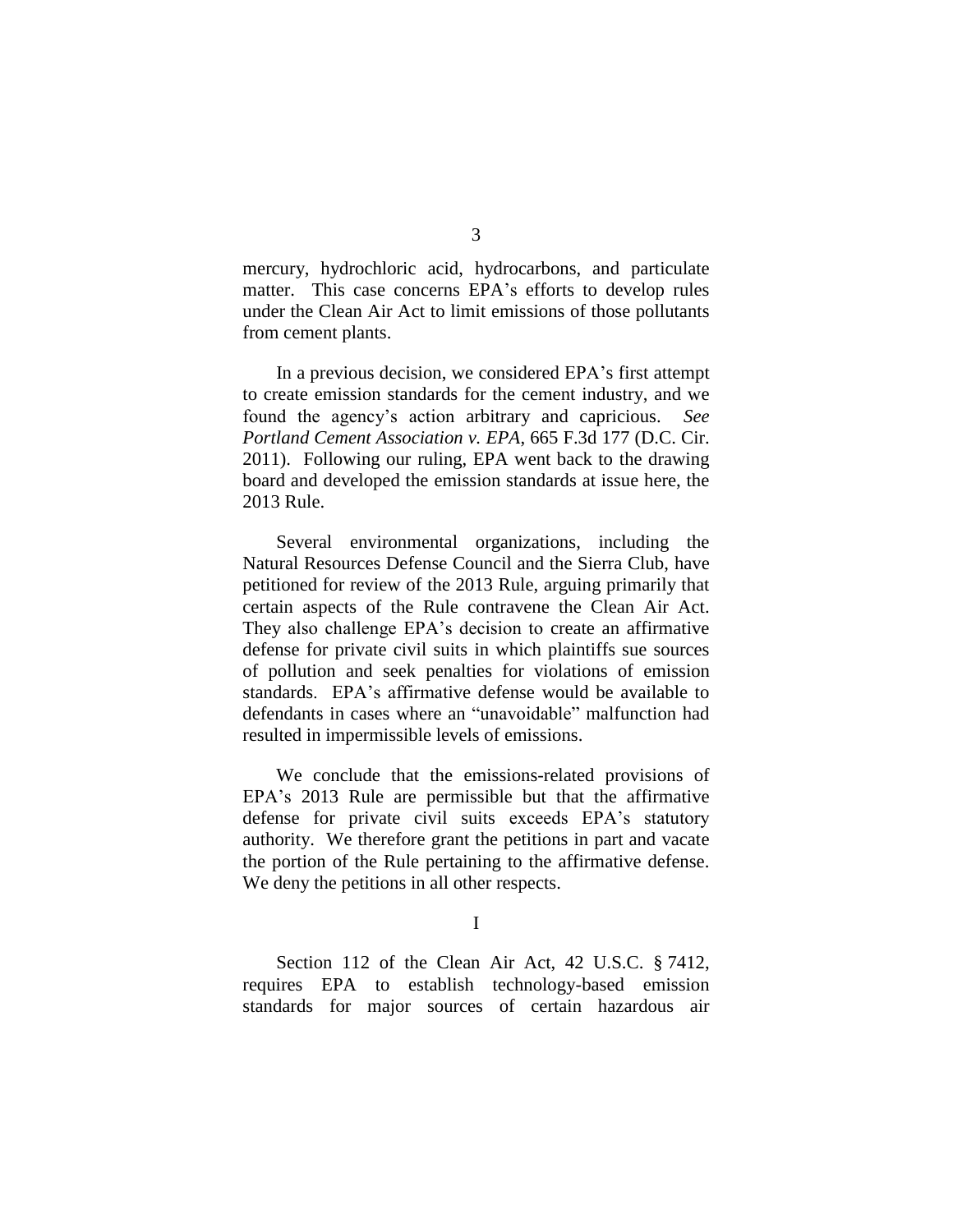mercury, hydrochloric acid, hydrocarbons, and particulate matter. This case concerns EPA's efforts to develop rules under the Clean Air Act to limit emissions of those pollutants from cement plants.

In a previous decision, we considered EPA's first attempt to create emission standards for the cement industry, and we found the agency's action arbitrary and capricious. *See Portland Cement Association v. EPA*, 665 F.3d 177 (D.C. Cir. 2011). Following our ruling, EPA went back to the drawing board and developed the emission standards at issue here, the 2013 Rule.

Several environmental organizations, including the Natural Resources Defense Council and the Sierra Club, have petitioned for review of the 2013 Rule, arguing primarily that certain aspects of the Rule contravene the Clean Air Act. They also challenge EPA's decision to create an affirmative defense for private civil suits in which plaintiffs sue sources of pollution and seek penalties for violations of emission standards. EPA's affirmative defense would be available to defendants in cases where an "unavoidable" malfunction had resulted in impermissible levels of emissions.

We conclude that the emissions-related provisions of EPA's 2013 Rule are permissible but that the affirmative defense for private civil suits exceeds EPA's statutory authority. We therefore grant the petitions in part and vacate the portion of the Rule pertaining to the affirmative defense. We deny the petitions in all other respects.

I

Section 112 of the Clean Air Act, 42 U.S.C. § 7412, requires EPA to establish technology-based emission standards for major sources of certain hazardous air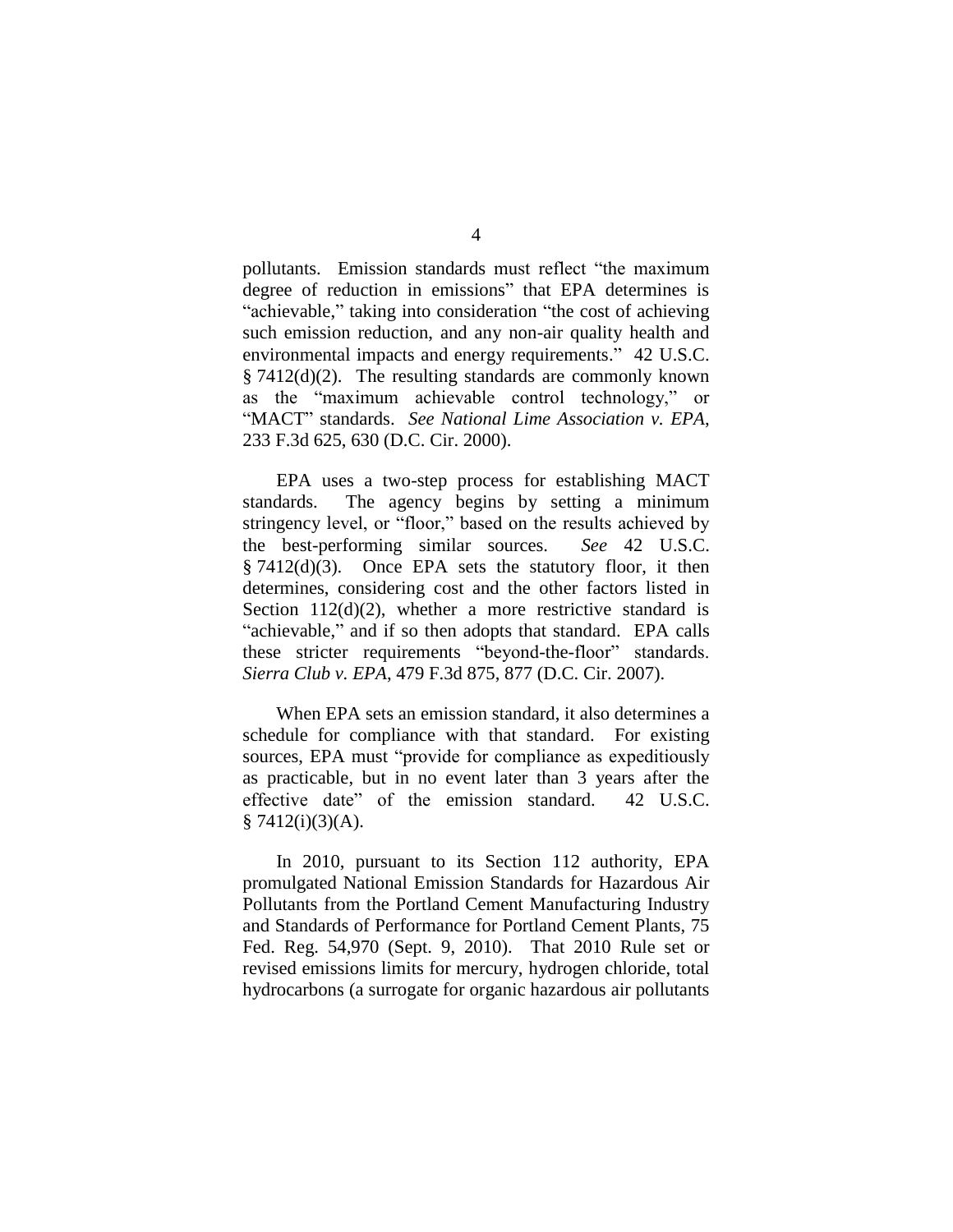pollutants. Emission standards must reflect "the maximum degree of reduction in emissions" that EPA determines is "achievable," taking into consideration "the cost of achieving such emission reduction, and any non-air quality health and environmental impacts and energy requirements." 42 U.S.C. § 7412(d)(2). The resulting standards are commonly known as the "maximum achievable control technology," or "MACT" standards. *See National Lime Association v. EPA*, 233 F.3d 625, 630 (D.C. Cir. 2000).

EPA uses a two-step process for establishing MACT standards. The agency begins by setting a minimum stringency level, or "floor," based on the results achieved by the best-performing similar sources. *See* 42 U.S.C. § 7412(d)(3). Once EPA sets the statutory floor, it then determines, considering cost and the other factors listed in Section  $112(d)(2)$ , whether a more restrictive standard is "achievable," and if so then adopts that standard. EPA calls these stricter requirements "beyond-the-floor" standards. *Sierra Club v. EPA*, 479 F.3d 875, 877 (D.C. Cir. 2007).

When EPA sets an emission standard, it also determines a schedule for compliance with that standard. For existing sources, EPA must "provide for compliance as expeditiously as practicable, but in no event later than 3 years after the effective date" of the emission standard. 42 U.S.C.  $§ 7412(i)(3)(A).$ 

In 2010, pursuant to its Section 112 authority, EPA promulgated National Emission Standards for Hazardous Air Pollutants from the Portland Cement Manufacturing Industry and Standards of Performance for Portland Cement Plants, 75 Fed. Reg. 54,970 (Sept. 9, 2010). That 2010 Rule set or revised emissions limits for mercury, hydrogen chloride, total hydrocarbons (a surrogate for organic hazardous air pollutants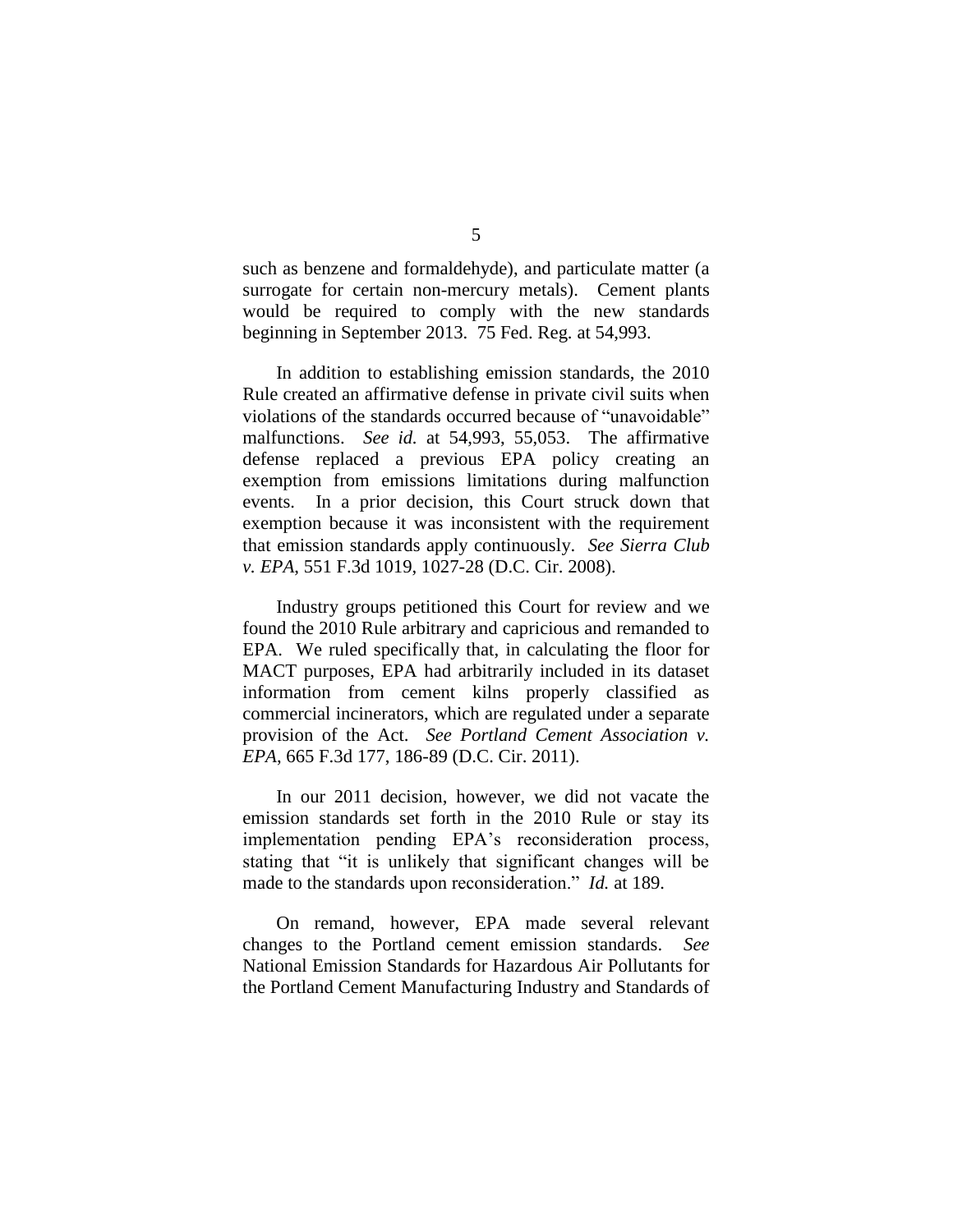such as benzene and formaldehyde), and particulate matter (a surrogate for certain non-mercury metals). Cement plants would be required to comply with the new standards beginning in September 2013. 75 Fed. Reg. at 54,993.

In addition to establishing emission standards, the 2010 Rule created an affirmative defense in private civil suits when violations of the standards occurred because of "unavoidable" malfunctions. *See id.* at 54,993, 55,053. The affirmative defense replaced a previous EPA policy creating an exemption from emissions limitations during malfunction events. In a prior decision, this Court struck down that exemption because it was inconsistent with the requirement that emission standards apply continuously. *See Sierra Club v. EPA*, 551 F.3d 1019, 1027-28 (D.C. Cir. 2008).

Industry groups petitioned this Court for review and we found the 2010 Rule arbitrary and capricious and remanded to EPA. We ruled specifically that, in calculating the floor for MACT purposes, EPA had arbitrarily included in its dataset information from cement kilns properly classified as commercial incinerators, which are regulated under a separate provision of the Act. *See Portland Cement Association v. EPA*, 665 F.3d 177, 186-89 (D.C. Cir. 2011).

In our 2011 decision, however, we did not vacate the emission standards set forth in the 2010 Rule or stay its implementation pending EPA's reconsideration process, stating that "it is unlikely that significant changes will be made to the standards upon reconsideration." *Id.* at 189.

On remand, however, EPA made several relevant changes to the Portland cement emission standards. *See* National Emission Standards for Hazardous Air Pollutants for the Portland Cement Manufacturing Industry and Standards of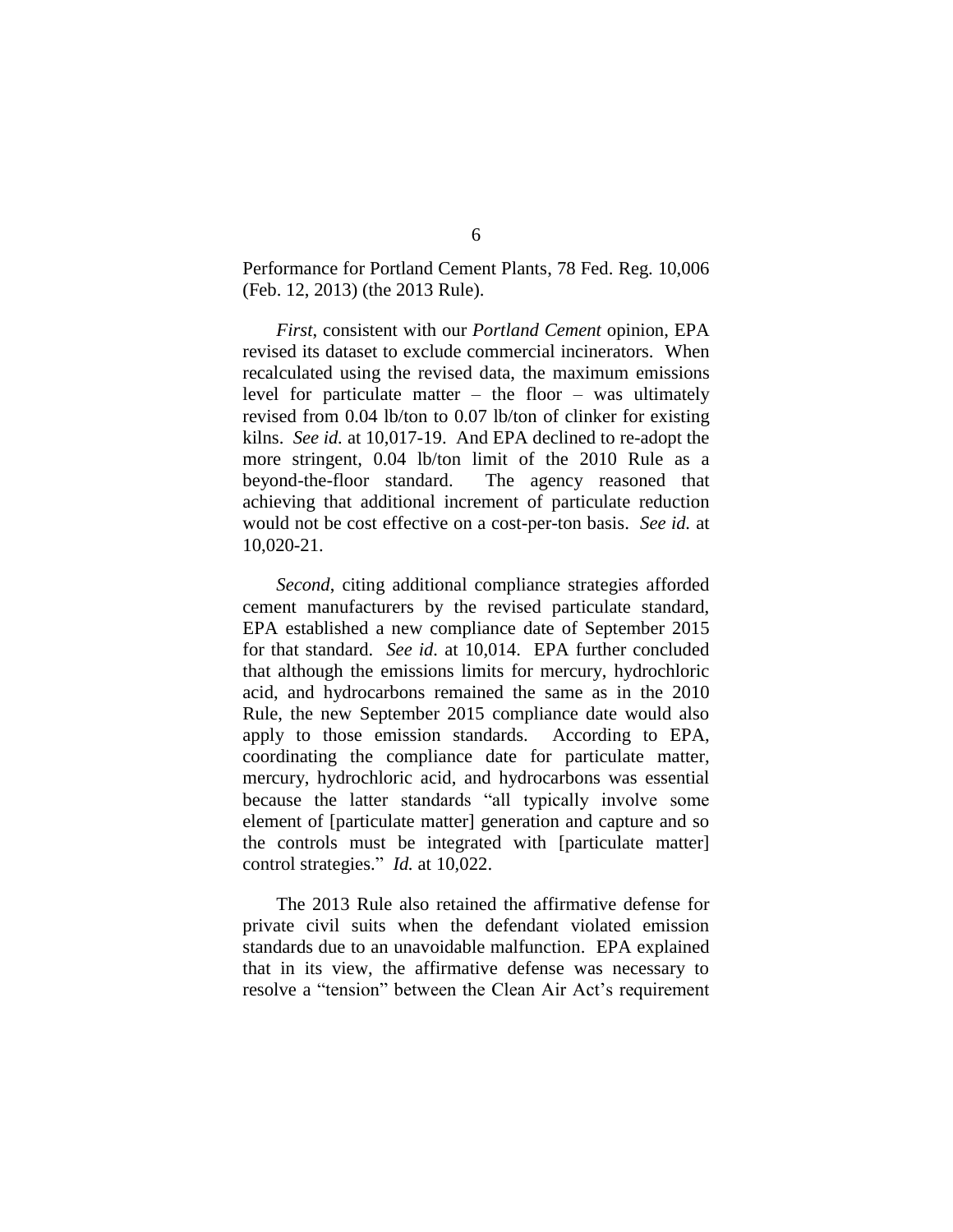Performance for Portland Cement Plants, 78 Fed. Reg. 10,006 (Feb. 12, 2013) (the 2013 Rule).

*First*, consistent with our *Portland Cement* opinion, EPA revised its dataset to exclude commercial incinerators. When recalculated using the revised data, the maximum emissions level for particulate matter  $-$  the floor  $-$  was ultimately revised from 0.04 lb/ton to 0.07 lb/ton of clinker for existing kilns. *See id.* at 10,017-19. And EPA declined to re-adopt the more stringent, 0.04 lb/ton limit of the 2010 Rule as a beyond-the-floor standard. The agency reasoned that achieving that additional increment of particulate reduction would not be cost effective on a cost-per-ton basis. *See id.* at 10,020-21.

*Second*, citing additional compliance strategies afforded cement manufacturers by the revised particulate standard, EPA established a new compliance date of September 2015 for that standard. *See id.* at 10,014. EPA further concluded that although the emissions limits for mercury, hydrochloric acid, and hydrocarbons remained the same as in the 2010 Rule, the new September 2015 compliance date would also apply to those emission standards. According to EPA, coordinating the compliance date for particulate matter, mercury, hydrochloric acid, and hydrocarbons was essential because the latter standards "all typically involve some element of [particulate matter] generation and capture and so the controls must be integrated with [particulate matter] control strategies." *Id.* at 10,022.

The 2013 Rule also retained the affirmative defense for private civil suits when the defendant violated emission standards due to an unavoidable malfunction. EPA explained that in its view, the affirmative defense was necessary to resolve a "tension" between the Clean Air Act's requirement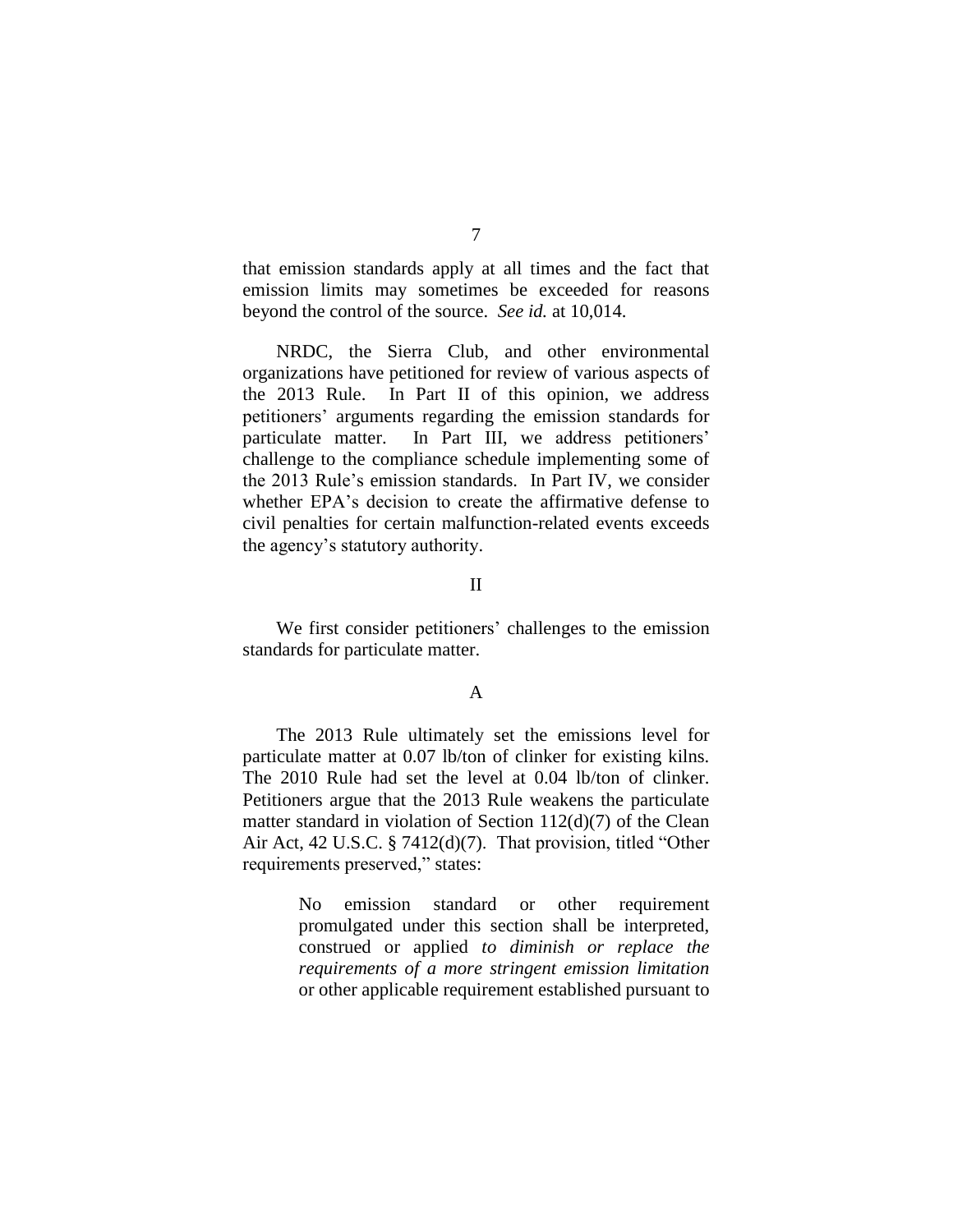that emission standards apply at all times and the fact that emission limits may sometimes be exceeded for reasons beyond the control of the source. *See id.* at 10,014.

NRDC, the Sierra Club, and other environmental organizations have petitioned for review of various aspects of the 2013 Rule. In Part II of this opinion, we address petitioners' arguments regarding the emission standards for particulate matter. In Part III, we address petitioners' challenge to the compliance schedule implementing some of the 2013 Rule's emission standards. In Part IV, we consider whether EPA's decision to create the affirmative defense to civil penalties for certain malfunction-related events exceeds the agency's statutory authority.

#### II

We first consider petitioners' challenges to the emission standards for particulate matter.

### A

The 2013 Rule ultimately set the emissions level for particulate matter at 0.07 lb/ton of clinker for existing kilns. The 2010 Rule had set the level at 0.04 lb/ton of clinker. Petitioners argue that the 2013 Rule weakens the particulate matter standard in violation of Section 112(d)(7) of the Clean Air Act, 42 U.S.C. § 7412(d)(7). That provision, titled "Other requirements preserved," states:

> No emission standard or other requirement promulgated under this section shall be interpreted, construed or applied *to diminish or replace the requirements of a more stringent emission limitation* or other applicable requirement established pursuant to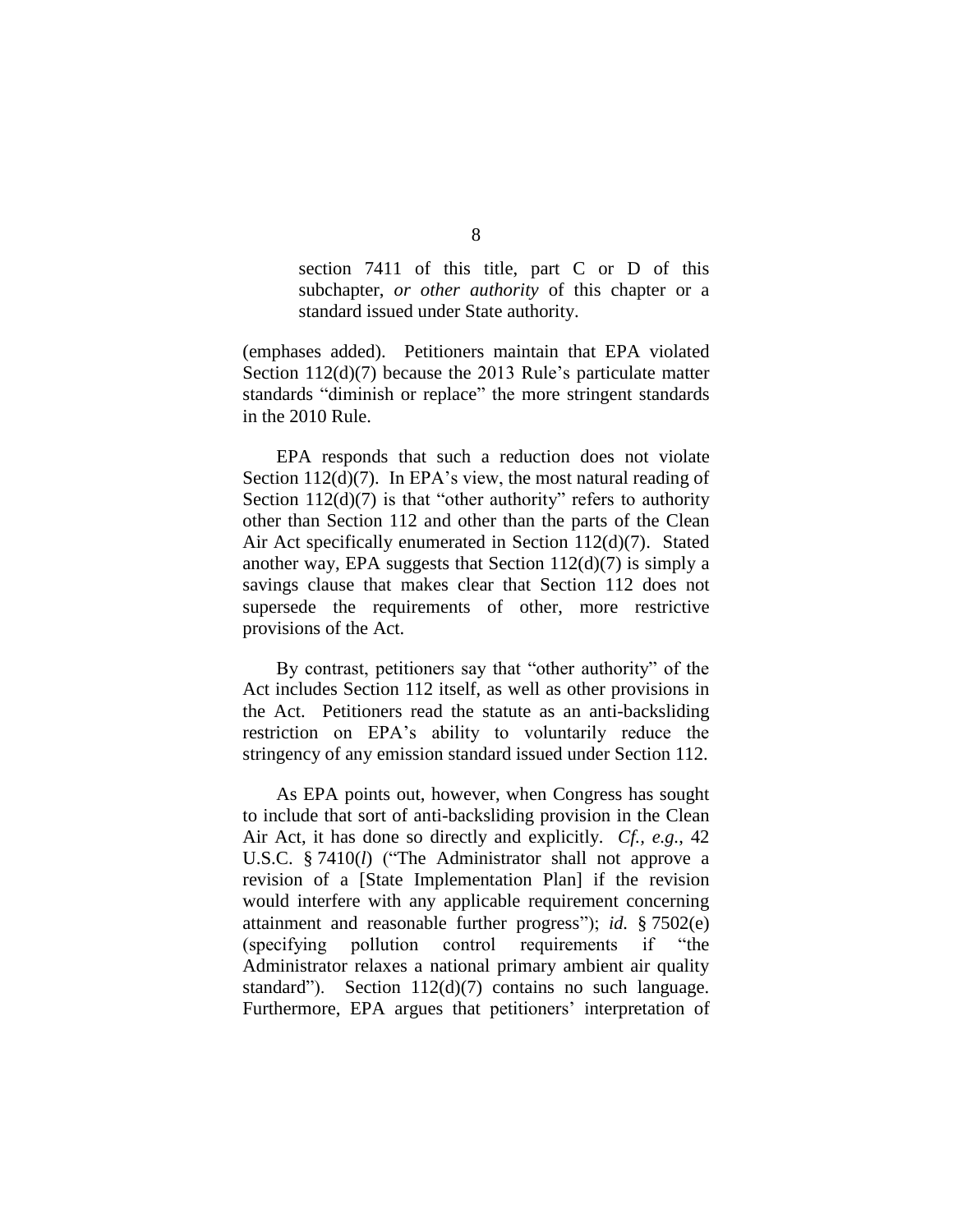section 7411 of this title, part C or D of this subchapter, *or other authority* of this chapter or a standard issued under State authority.

(emphases added). Petitioners maintain that EPA violated Section 112(d)(7) because the 2013 Rule's particulate matter standards "diminish or replace" the more stringent standards in the 2010 Rule.

EPA responds that such a reduction does not violate Section 112(d)(7). In EPA's view, the most natural reading of Section  $112(d)(7)$  is that "other authority" refers to authority other than Section 112 and other than the parts of the Clean Air Act specifically enumerated in Section 112(d)(7). Stated another way, EPA suggests that Section  $112(d)(7)$  is simply a savings clause that makes clear that Section 112 does not supersede the requirements of other, more restrictive provisions of the Act.

By contrast, petitioners say that "other authority" of the Act includes Section 112 itself, as well as other provisions in the Act. Petitioners read the statute as an anti-backsliding restriction on EPA's ability to voluntarily reduce the stringency of any emission standard issued under Section 112.

As EPA points out, however, when Congress has sought to include that sort of anti-backsliding provision in the Clean Air Act, it has done so directly and explicitly. *Cf., e.g.*, 42 U.S.C. § 7410(*l*) ("The Administrator shall not approve a revision of a [State Implementation Plan] if the revision would interfere with any applicable requirement concerning attainment and reasonable further progress"); *id.* § 7502(e) (specifying pollution control requirements if "the Administrator relaxes a national primary ambient air quality standard"). Section 112(d)(7) contains no such language. Furthermore, EPA argues that petitioners' interpretation of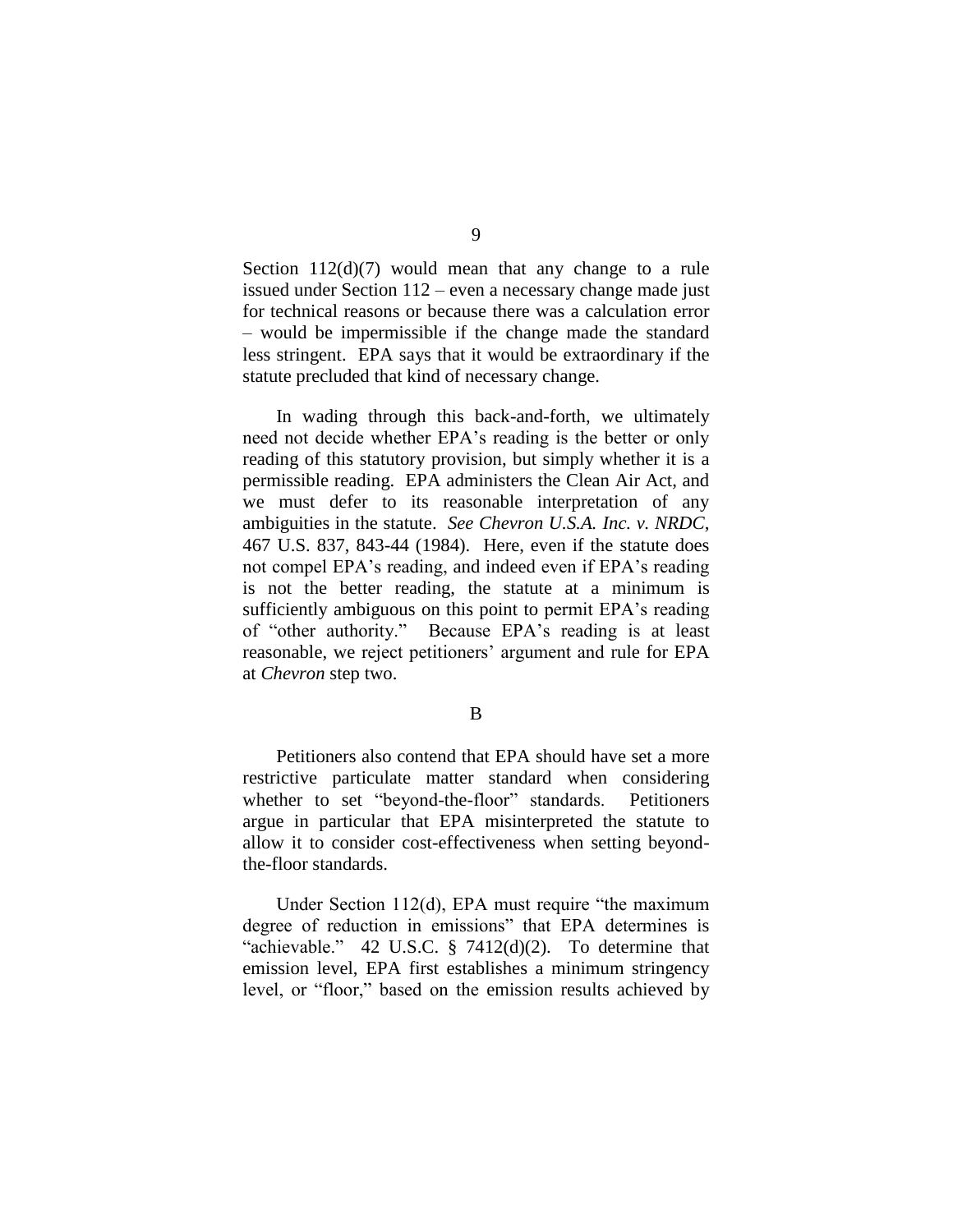Section 112(d)(7) would mean that any change to a rule issued under Section 112 – even a necessary change made just for technical reasons or because there was a calculation error – would be impermissible if the change made the standard less stringent. EPA says that it would be extraordinary if the statute precluded that kind of necessary change.

In wading through this back-and-forth, we ultimately need not decide whether EPA's reading is the better or only reading of this statutory provision, but simply whether it is a permissible reading. EPA administers the Clean Air Act, and we must defer to its reasonable interpretation of any ambiguities in the statute. *See Chevron U.S.A. Inc. v. NRDC*, 467 U.S. 837, 843-44 (1984). Here, even if the statute does not compel EPA's reading, and indeed even if EPA's reading is not the better reading, the statute at a minimum is sufficiently ambiguous on this point to permit EPA's reading of "other authority." Because EPA's reading is at least reasonable, we reject petitioners' argument and rule for EPA at *Chevron* step two.

B

Petitioners also contend that EPA should have set a more restrictive particulate matter standard when considering whether to set "beyond-the-floor" standards. Petitioners argue in particular that EPA misinterpreted the statute to allow it to consider cost-effectiveness when setting beyondthe-floor standards.

Under Section 112(d), EPA must require "the maximum degree of reduction in emissions" that EPA determines is "achievable." 42 U.S.C.  $\S$  7412(d)(2). To determine that emission level, EPA first establishes a minimum stringency level, or "floor," based on the emission results achieved by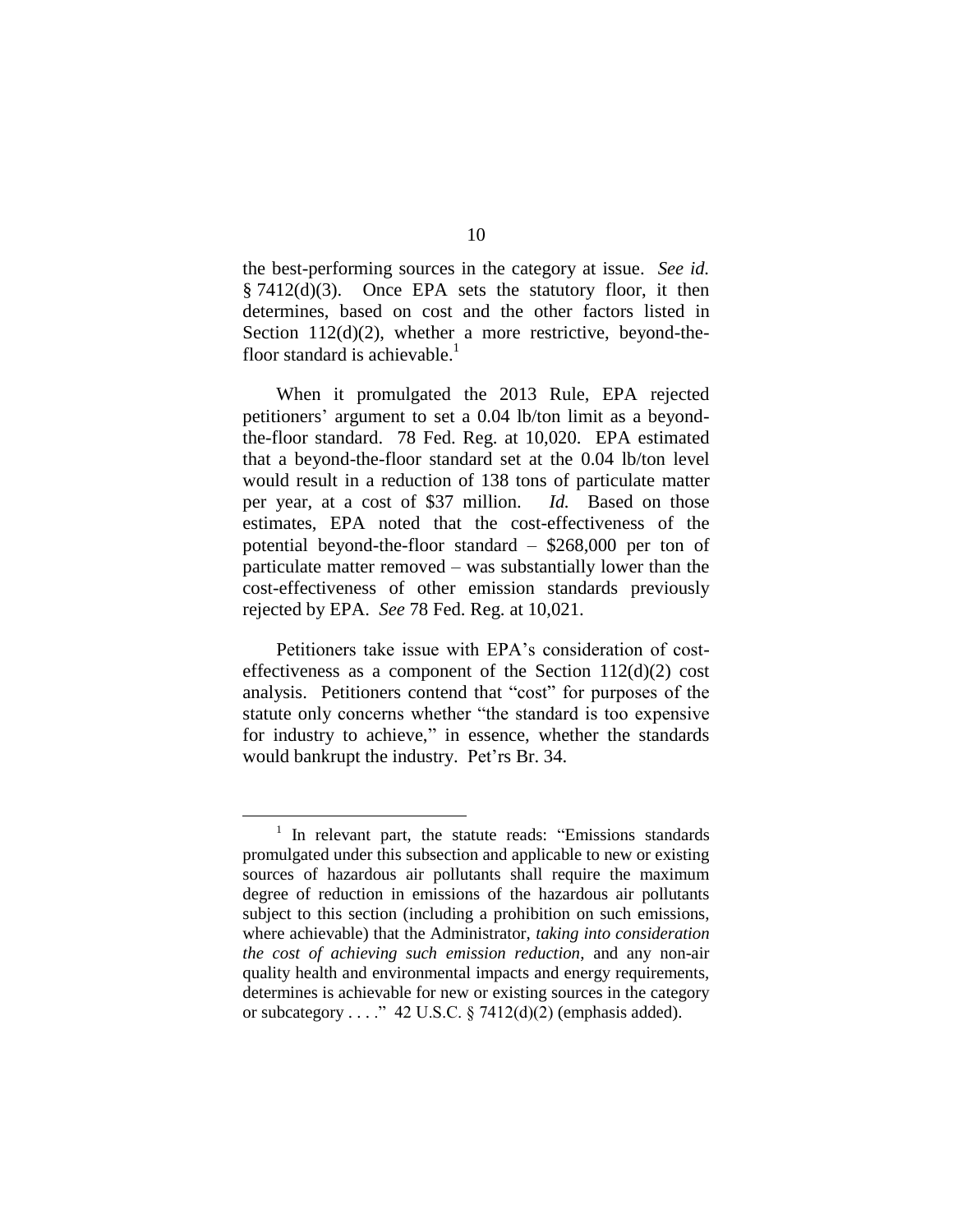the best-performing sources in the category at issue. *See id.*  $§ 7412(d)(3)$ . Once EPA sets the statutory floor, it then determines, based on cost and the other factors listed in Section  $112(d)(2)$ , whether a more restrictive, beyond-thefloor standard is achievable.<sup>1</sup>

When it promulgated the 2013 Rule, EPA rejected petitioners' argument to set a 0.04 lb/ton limit as a beyondthe-floor standard. 78 Fed. Reg. at 10,020. EPA estimated that a beyond-the-floor standard set at the 0.04 lb/ton level would result in a reduction of 138 tons of particulate matter per year, at a cost of \$37 million. *Id.* Based on those estimates, EPA noted that the cost-effectiveness of the potential beyond-the-floor standard – \$268,000 per ton of particulate matter removed – was substantially lower than the cost-effectiveness of other emission standards previously rejected by EPA. *See* 78 Fed. Reg. at 10,021.

Petitioners take issue with EPA's consideration of costeffectiveness as a component of the Section  $112(d)(2)$  cost analysis. Petitioners contend that "cost" for purposes of the statute only concerns whether "the standard is too expensive for industry to achieve," in essence, whether the standards would bankrupt the industry. Pet'rs Br. 34.

 $\overline{a}$ 

<sup>&</sup>lt;sup>1</sup> In relevant part, the statute reads: "Emissions standards promulgated under this subsection and applicable to new or existing sources of hazardous air pollutants shall require the maximum degree of reduction in emissions of the hazardous air pollutants subject to this section (including a prohibition on such emissions, where achievable) that the Administrator, *taking into consideration the cost of achieving such emission reduction*, and any non-air quality health and environmental impacts and energy requirements, determines is achievable for new or existing sources in the category or subcategory . . . ." 42 U.S.C.  $\S$  7412(d)(2) (emphasis added).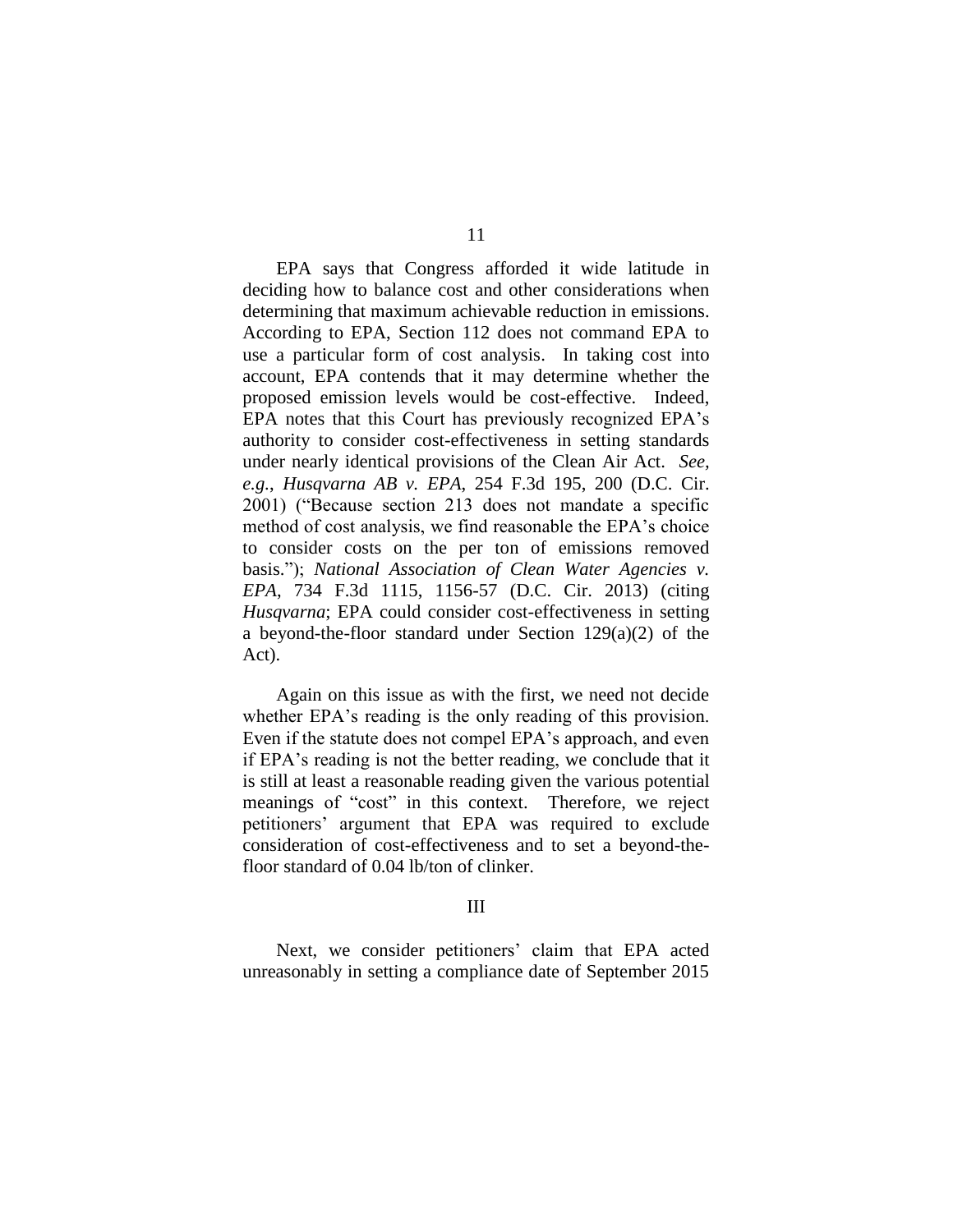EPA says that Congress afforded it wide latitude in deciding how to balance cost and other considerations when determining that maximum achievable reduction in emissions. According to EPA, Section 112 does not command EPA to use a particular form of cost analysis. In taking cost into account, EPA contends that it may determine whether the proposed emission levels would be cost-effective. Indeed, EPA notes that this Court has previously recognized EPA's authority to consider cost-effectiveness in setting standards under nearly identical provisions of the Clean Air Act. *See, e.g.*, *Husqvarna AB v. EPA*, 254 F.3d 195, 200 (D.C. Cir. 2001) ("Because section 213 does not mandate a specific method of cost analysis, we find reasonable the EPA's choice to consider costs on the per ton of emissions removed basis."); *National Association of Clean Water Agencies v. EPA*, 734 F.3d 1115, 1156-57 (D.C. Cir. 2013) (citing *Husqvarna*; EPA could consider cost-effectiveness in setting a beyond-the-floor standard under Section 129(a)(2) of the Act).

Again on this issue as with the first, we need not decide whether EPA's reading is the only reading of this provision. Even if the statute does not compel EPA's approach, and even if EPA's reading is not the better reading, we conclude that it is still at least a reasonable reading given the various potential meanings of "cost" in this context. Therefore, we reject petitioners' argument that EPA was required to exclude consideration of cost-effectiveness and to set a beyond-thefloor standard of 0.04 lb/ton of clinker.

#### III

Next, we consider petitioners' claim that EPA acted unreasonably in setting a compliance date of September 2015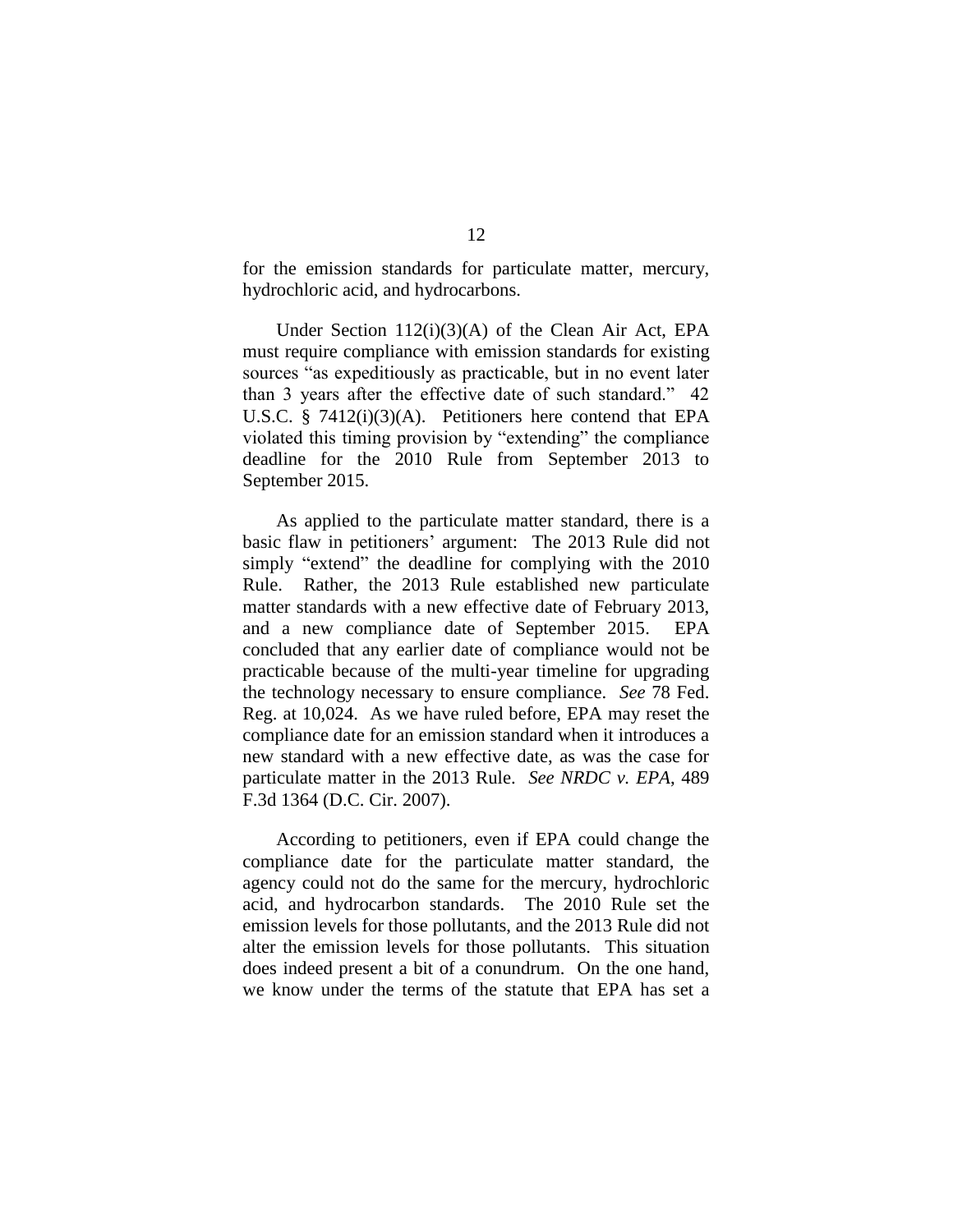for the emission standards for particulate matter, mercury, hydrochloric acid, and hydrocarbons.

Under Section 112(i)(3)(A) of the Clean Air Act, EPA must require compliance with emission standards for existing sources "as expeditiously as practicable, but in no event later than 3 years after the effective date of such standard." 42 U.S.C. § 7412(i)(3)(A). Petitioners here contend that EPA violated this timing provision by "extending" the compliance deadline for the 2010 Rule from September 2013 to September 2015.

As applied to the particulate matter standard, there is a basic flaw in petitioners' argument: The 2013 Rule did not simply "extend" the deadline for complying with the 2010 Rule. Rather, the 2013 Rule established new particulate matter standards with a new effective date of February 2013, and a new compliance date of September 2015. EPA concluded that any earlier date of compliance would not be practicable because of the multi-year timeline for upgrading the technology necessary to ensure compliance. *See* 78 Fed. Reg. at 10,024. As we have ruled before, EPA may reset the compliance date for an emission standard when it introduces a new standard with a new effective date, as was the case for particulate matter in the 2013 Rule. *See NRDC v. EPA*, 489 F.3d 1364 (D.C. Cir. 2007).

According to petitioners, even if EPA could change the compliance date for the particulate matter standard, the agency could not do the same for the mercury, hydrochloric acid, and hydrocarbon standards. The 2010 Rule set the emission levels for those pollutants, and the 2013 Rule did not alter the emission levels for those pollutants. This situation does indeed present a bit of a conundrum. On the one hand, we know under the terms of the statute that EPA has set a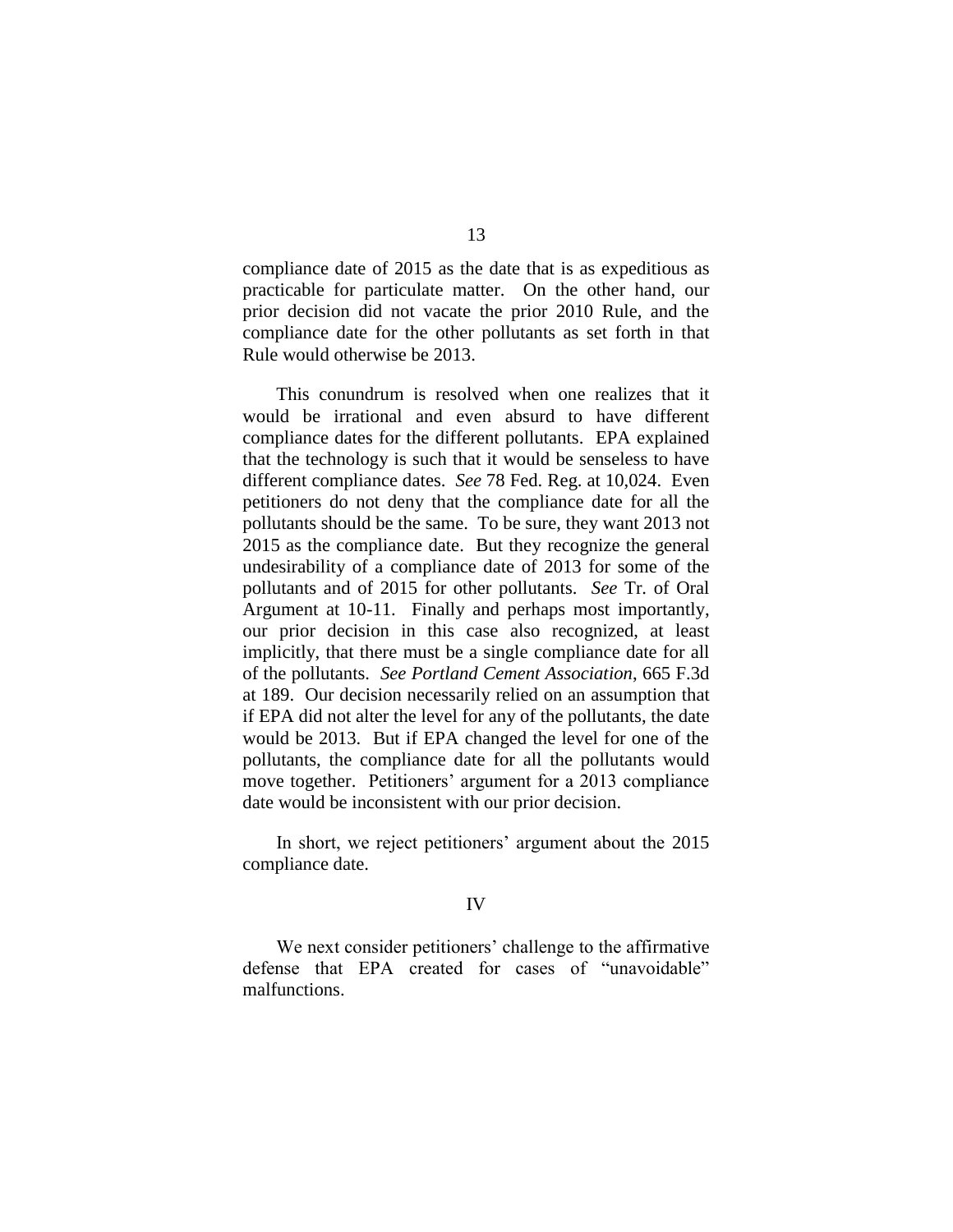compliance date of 2015 as the date that is as expeditious as practicable for particulate matter. On the other hand, our prior decision did not vacate the prior 2010 Rule, and the compliance date for the other pollutants as set forth in that Rule would otherwise be 2013.

This conundrum is resolved when one realizes that it would be irrational and even absurd to have different compliance dates for the different pollutants. EPA explained that the technology is such that it would be senseless to have different compliance dates. *See* 78 Fed. Reg. at 10,024. Even petitioners do not deny that the compliance date for all the pollutants should be the same. To be sure, they want 2013 not 2015 as the compliance date. But they recognize the general undesirability of a compliance date of 2013 for some of the pollutants and of 2015 for other pollutants. *See* Tr. of Oral Argument at 10-11. Finally and perhaps most importantly, our prior decision in this case also recognized, at least implicitly, that there must be a single compliance date for all of the pollutants. *See Portland Cement Association*, 665 F.3d at 189. Our decision necessarily relied on an assumption that if EPA did not alter the level for any of the pollutants, the date would be 2013. But if EPA changed the level for one of the pollutants, the compliance date for all the pollutants would move together. Petitioners' argument for a 2013 compliance date would be inconsistent with our prior decision.

In short, we reject petitioners' argument about the 2015 compliance date.

#### IV

We next consider petitioners' challenge to the affirmative defense that EPA created for cases of "unavoidable" malfunctions.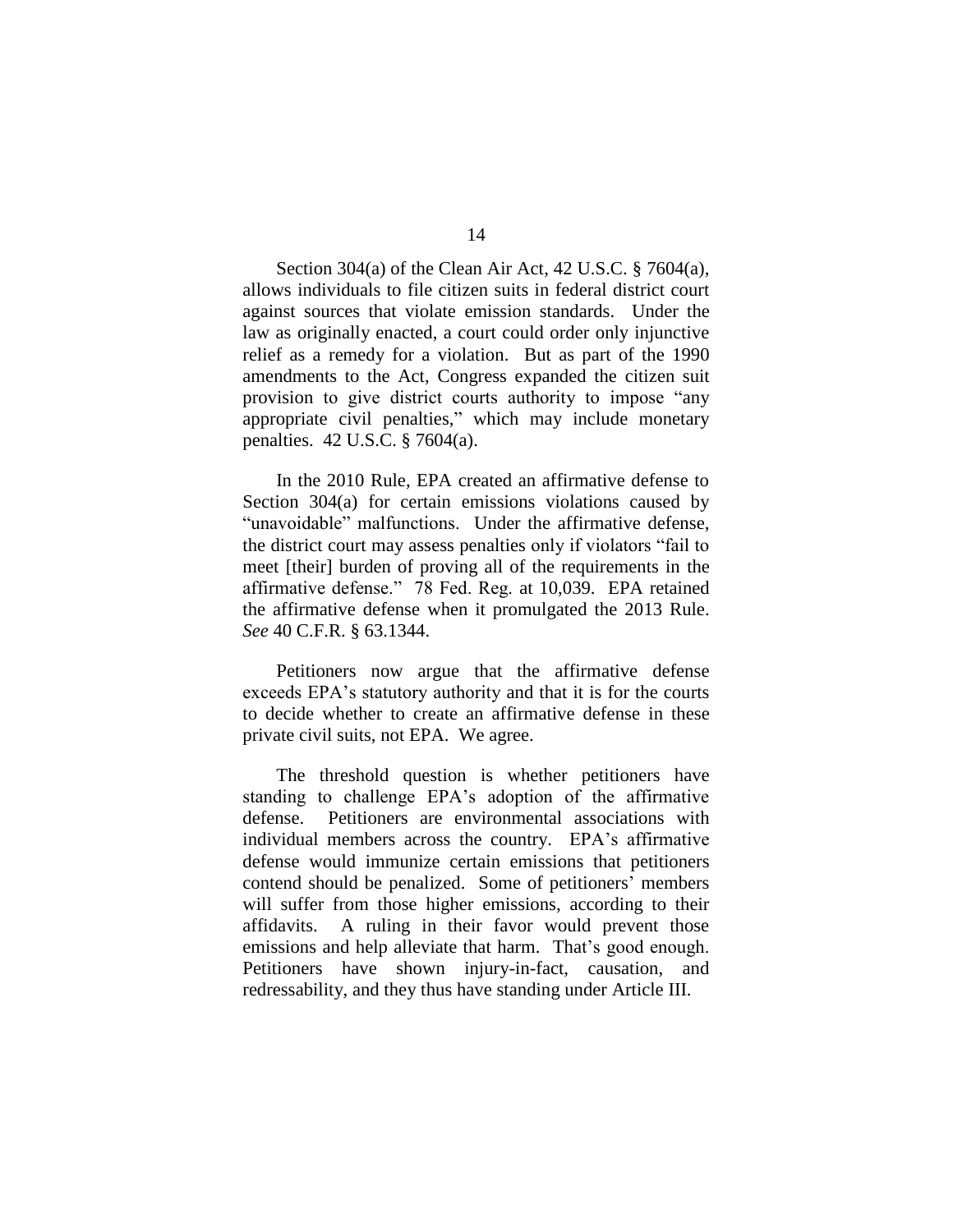Section 304(a) of the Clean Air Act, 42 U.S.C. § 7604(a), allows individuals to file citizen suits in federal district court against sources that violate emission standards. Under the law as originally enacted, a court could order only injunctive relief as a remedy for a violation. But as part of the 1990 amendments to the Act, Congress expanded the citizen suit provision to give district courts authority to impose "any appropriate civil penalties," which may include monetary penalties. 42 U.S.C. § 7604(a).

In the 2010 Rule, EPA created an affirmative defense to Section 304(a) for certain emissions violations caused by "unavoidable" malfunctions. Under the affirmative defense, the district court may assess penalties only if violators "fail to meet [their] burden of proving all of the requirements in the affirmative defense." 78 Fed. Reg. at 10,039. EPA retained the affirmative defense when it promulgated the 2013 Rule. *See* 40 C.F.R. § 63.1344.

Petitioners now argue that the affirmative defense exceeds EPA's statutory authority and that it is for the courts to decide whether to create an affirmative defense in these private civil suits, not EPA. We agree.

The threshold question is whether petitioners have standing to challenge EPA's adoption of the affirmative defense. Petitioners are environmental associations with individual members across the country. EPA's affirmative defense would immunize certain emissions that petitioners contend should be penalized. Some of petitioners' members will suffer from those higher emissions, according to their affidavits. A ruling in their favor would prevent those emissions and help alleviate that harm. That's good enough. Petitioners have shown injury-in-fact, causation, and redressability, and they thus have standing under Article III.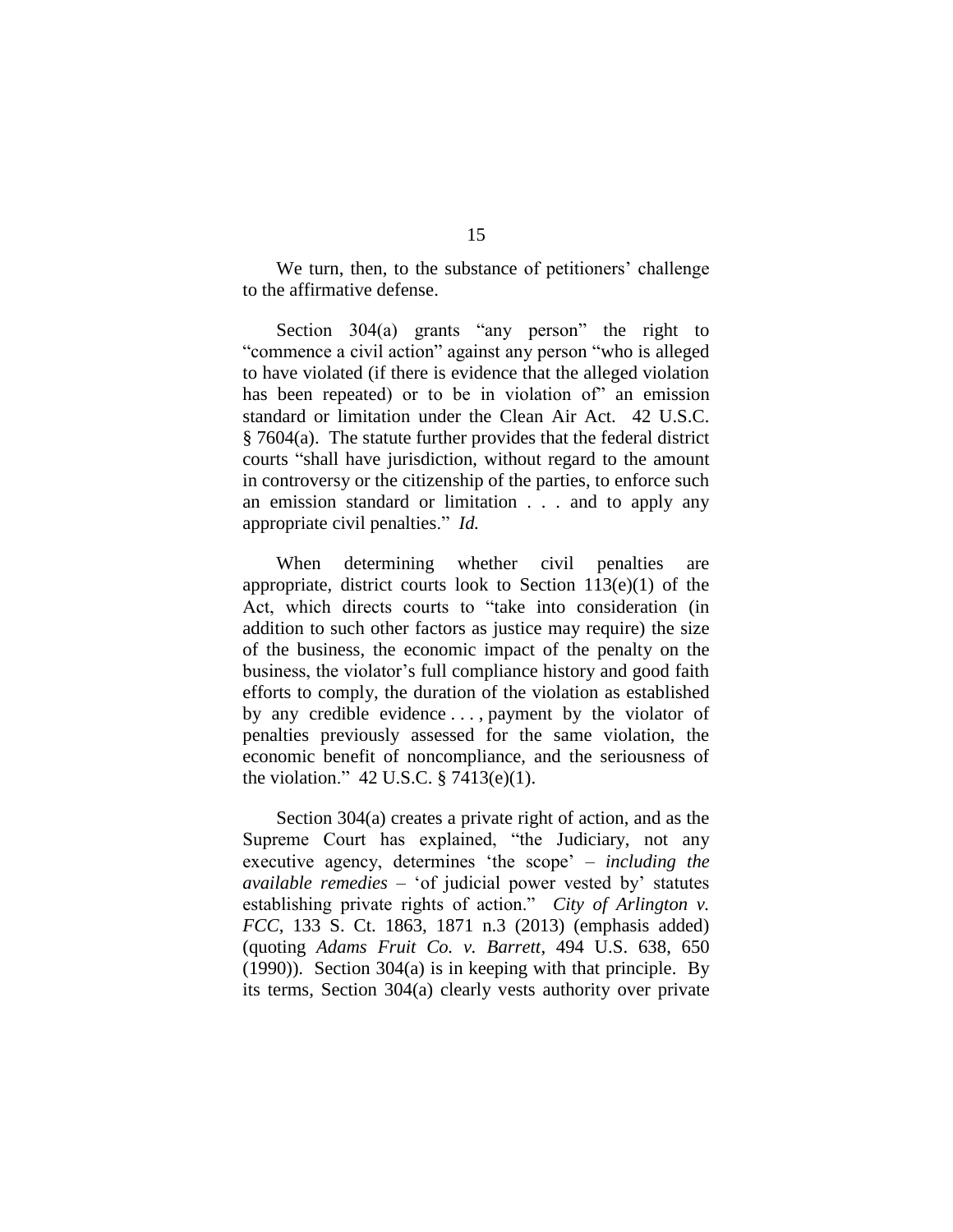We turn, then, to the substance of petitioners' challenge to the affirmative defense.

Section 304(a) grants "any person" the right to "commence a civil action" against any person "who is alleged to have violated (if there is evidence that the alleged violation has been repeated) or to be in violation of" an emission standard or limitation under the Clean Air Act. 42 U.S.C. § 7604(a). The statute further provides that the federal district courts "shall have jurisdiction, without regard to the amount in controversy or the citizenship of the parties, to enforce such an emission standard or limitation . . . and to apply any appropriate civil penalties." *Id.*

When determining whether civil penalties are appropriate, district courts look to Section 113(e)(1) of the Act, which directs courts to "take into consideration (in addition to such other factors as justice may require) the size of the business, the economic impact of the penalty on the business, the violator's full compliance history and good faith efforts to comply, the duration of the violation as established by any credible evidence . . . , payment by the violator of penalties previously assessed for the same violation, the economic benefit of noncompliance, and the seriousness of the violation." 42 U.S.C. § 7413(e)(1).

Section 304(a) creates a private right of action, and as the Supreme Court has explained, "the Judiciary, not any executive agency, determines 'the scope' – *including the available remedies* – 'of judicial power vested by' statutes establishing private rights of action." *City of Arlington v. FCC*, 133 S. Ct. 1863, 1871 n.3 (2013) (emphasis added) (quoting *Adams Fruit Co. v. Barrett*, 494 U.S. 638, 650 (1990)). Section 304(a) is in keeping with that principle. By its terms, Section 304(a) clearly vests authority over private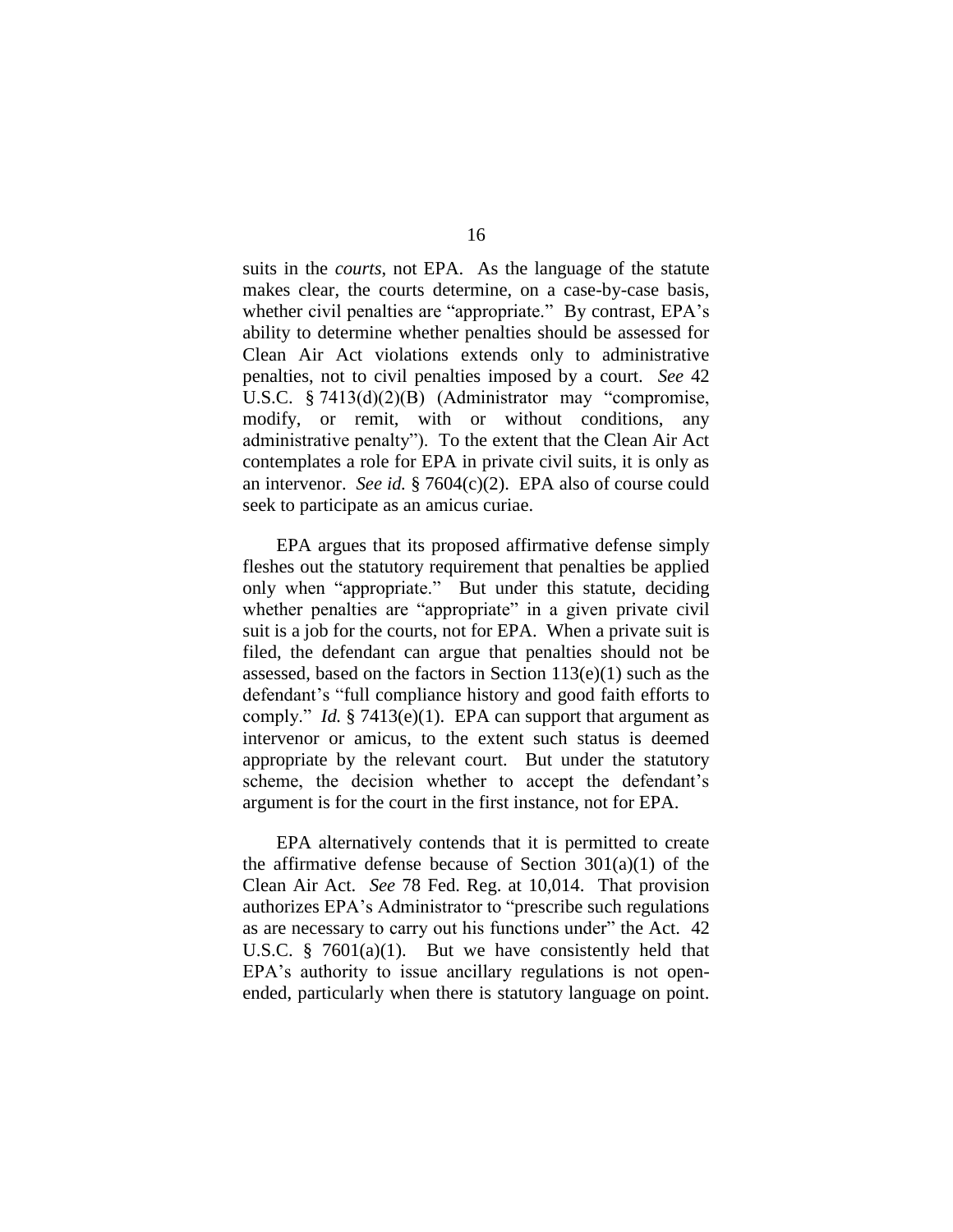suits in the *courts*, not EPA. As the language of the statute makes clear, the courts determine, on a case-by-case basis, whether civil penalties are "appropriate." By contrast, EPA's ability to determine whether penalties should be assessed for Clean Air Act violations extends only to administrative penalties, not to civil penalties imposed by a court. *See* 42 U.S.C. § 7413(d)(2)(B) (Administrator may "compromise, modify, or remit, with or without conditions, any administrative penalty"). To the extent that the Clean Air Act contemplates a role for EPA in private civil suits, it is only as an intervenor. *See id.* § 7604(c)(2). EPA also of course could seek to participate as an amicus curiae.

EPA argues that its proposed affirmative defense simply fleshes out the statutory requirement that penalties be applied only when "appropriate." But under this statute, deciding whether penalties are "appropriate" in a given private civil suit is a job for the courts, not for EPA. When a private suit is filed, the defendant can argue that penalties should not be assessed, based on the factors in Section  $113(e)(1)$  such as the defendant's "full compliance history and good faith efforts to comply." *Id.* § 7413(e)(1). EPA can support that argument as intervenor or amicus, to the extent such status is deemed appropriate by the relevant court. But under the statutory scheme, the decision whether to accept the defendant's argument is for the court in the first instance, not for EPA.

EPA alternatively contends that it is permitted to create the affirmative defense because of Section  $301(a)(1)$  of the Clean Air Act. *See* 78 Fed. Reg. at 10,014. That provision authorizes EPA's Administrator to "prescribe such regulations as are necessary to carry out his functions under" the Act. 42 U.S.C. § 7601(a)(1). But we have consistently held that EPA's authority to issue ancillary regulations is not openended, particularly when there is statutory language on point.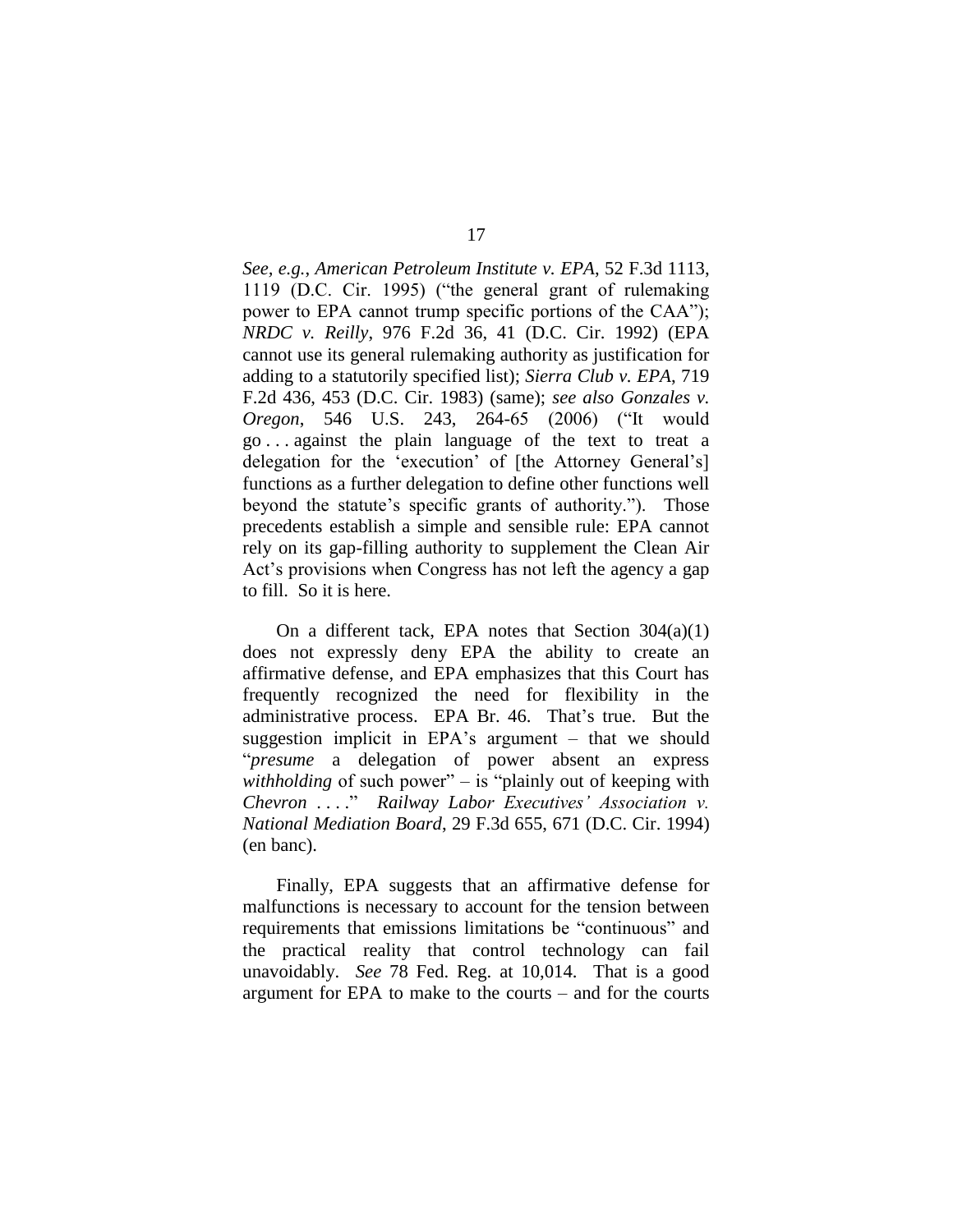*See, e.g.*, *American Petroleum Institute v. EPA*, 52 F.3d 1113, 1119 (D.C. Cir. 1995) ("the general grant of rulemaking power to EPA cannot trump specific portions of the CAA"); *NRDC v. Reilly*, 976 F.2d 36, 41 (D.C. Cir. 1992) (EPA cannot use its general rulemaking authority as justification for adding to a statutorily specified list); *Sierra Club v. EPA*, 719 F.2d 436, 453 (D.C. Cir. 1983) (same); *see also Gonzales v. Oregon*, 546 U.S. 243, 264-65 (2006) ("It would go . . . against the plain language of the text to treat a delegation for the 'execution' of [the Attorney General's] functions as a further delegation to define other functions well beyond the statute's specific grants of authority."). Those precedents establish a simple and sensible rule: EPA cannot rely on its gap-filling authority to supplement the Clean Air Act's provisions when Congress has not left the agency a gap to fill. So it is here.

On a different tack, EPA notes that Section  $304(a)(1)$ does not expressly deny EPA the ability to create an affirmative defense, and EPA emphasizes that this Court has frequently recognized the need for flexibility in the administrative process. EPA Br. 46. That's true. But the suggestion implicit in EPA's argument – that we should "*presume* a delegation of power absent an express *withholding* of such power" – is "plainly out of keeping with *Chevron* . . . ." *Railway Labor Executives' Association v. National Mediation Board*, 29 F.3d 655, 671 (D.C. Cir. 1994) (en banc).

Finally, EPA suggests that an affirmative defense for malfunctions is necessary to account for the tension between requirements that emissions limitations be "continuous" and the practical reality that control technology can fail unavoidably. *See* 78 Fed. Reg. at 10,014. That is a good argument for EPA to make to the courts – and for the courts